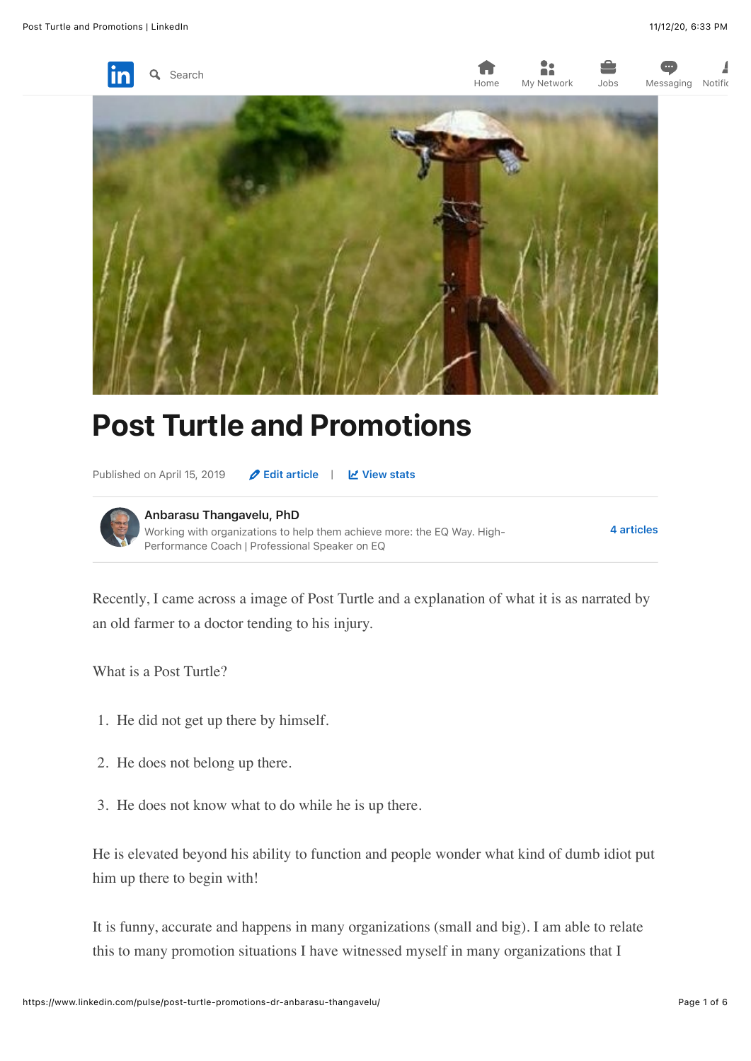

2: Home [My N](https://www.linkedin.com/feed/)[etwork](https://www.linkedin.com/mynetwork/) Jobs [Mes](https://www.linkedin.com/jobs/)[saging](https://www.linkedin.com/messaging/) [Notific](https://www.linkedin.com/notifications/)



# Post Turtle and Promotions

Published on April 15, 2019 **2 [Edit article](https://www.linkedin.com/post/edit/6523366164456931328)** |  $\mathbb{Z}$  [View stats](https://www.linkedin.com/pulse/post-turtle-promotions-dr-anbarasu-thangavelu/ca/post-analytics/urn:li:linkedInArticle:6523366164456931328/)



Recently, I came across a image of Post Turtle and a explanation of what it is as narrated by an old farmer to a doctor tending to his injury.

What is a Post Turtle?

- 1. He did not get up there by himself.
- 2. He does not belong up there.
- 3. He does not know what to do while he is up there.

He is elevated beyond his ability to function and people wonder what kind of dumb idiot put him up there to begin with!

It is funny, accurate and happens in many organizations (small and big). I am able to relate this to many promotion situations I have witnessed myself in many organizations that I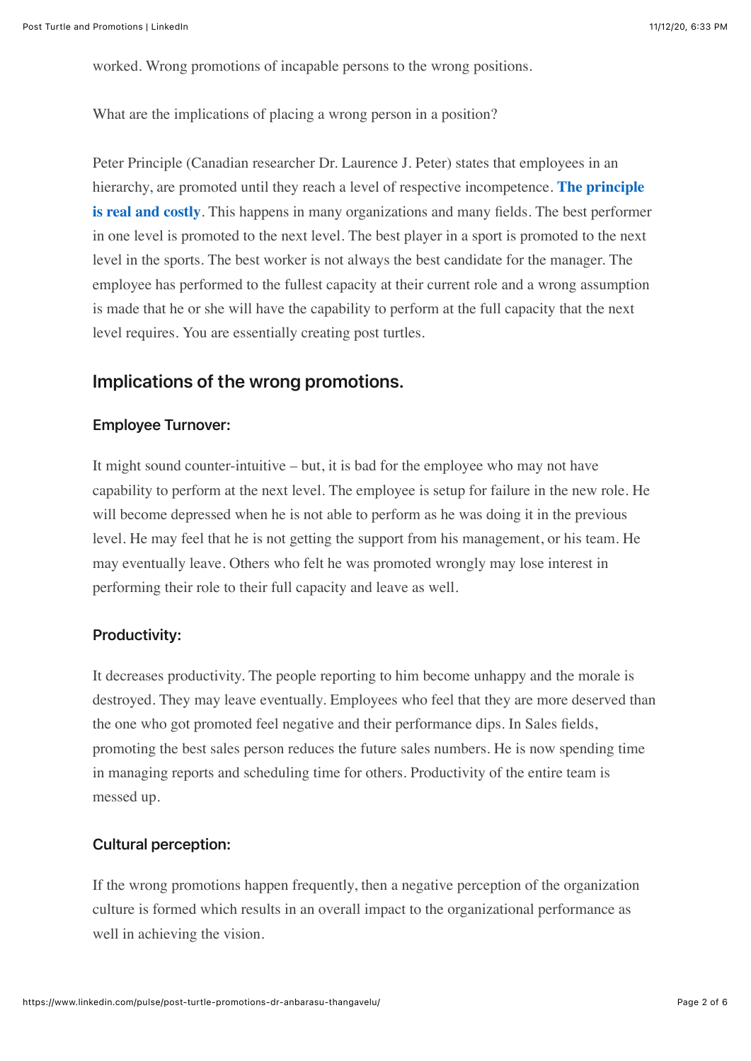worked. Wrong promotions of incapable persons to the wrong positions.

What are the implications of placing a wrong person in a position?

Peter Principle (Canadian researcher Dr. Laurence J. Peter) states that employees in an [hierarchy, are promoted until they reach a level of respective incompetence.](https://www.nber.org/digest/may18/w24343.shtml) **The principle is real and costly**. This happens in many organizations and many fields. The best performer in one level is promoted to the next level. The best player in a sport is promoted to the next level in the sports. The best worker is not always the best candidate for the manager. The employee has performed to the fullest capacity at their current role and a wrong assumption is made that he or she will have the capability to perform at the full capacity that the next level requires. You are essentially creating post turtles.

## Implications of the wrong promotions.

#### Employee Turnover:

It might sound counter-intuitive – but, it is bad for the employee who may not have capability to perform at the next level. The employee is setup for failure in the new role. He will become depressed when he is not able to perform as he was doing it in the previous level. He may feel that he is not getting the support from his management, or his team. He may eventually leave. Others who felt he was promoted wrongly may lose interest in performing their role to their full capacity and leave as well.

#### Productivity:

It decreases productivity. The people reporting to him become unhappy and the morale is destroyed. They may leave eventually. Employees who feel that they are more deserved than the one who got promoted feel negative and their performance dips. In Sales fields, promoting the best sales person reduces the future sales numbers. He is now spending time in managing reports and scheduling time for others. Productivity of the entire team is messed up.

#### Cultural perception:

If the wrong promotions happen frequently, then a negative perception of the organization culture is formed which results in an overall impact to the organizational performance as well in achieving the vision.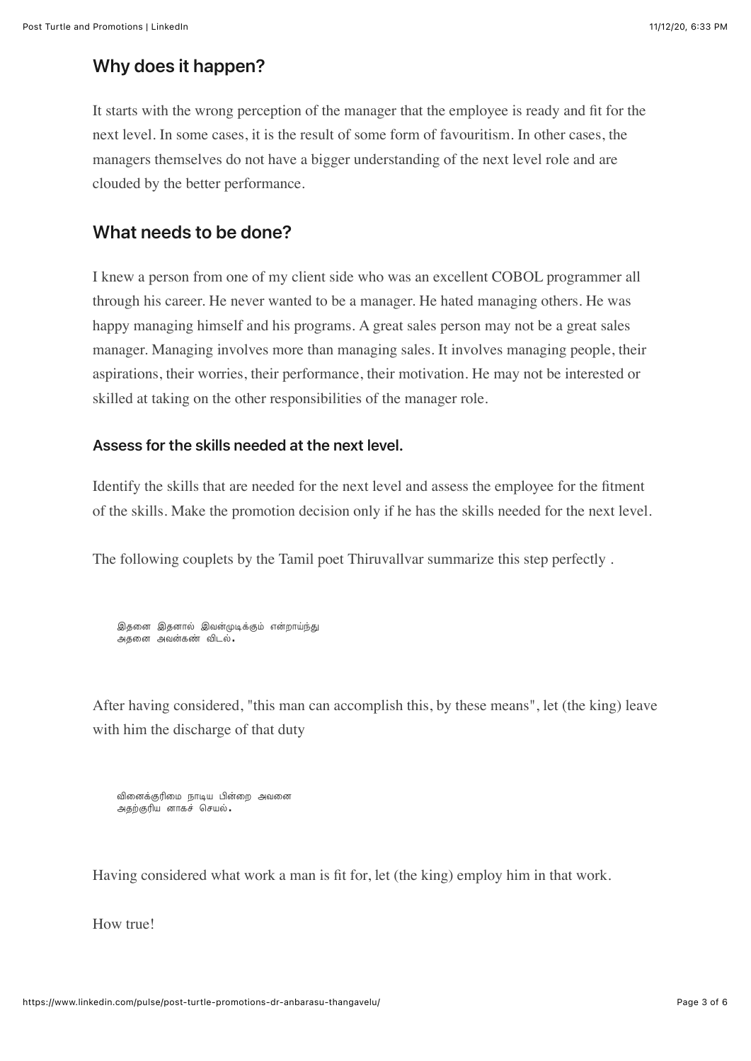## Why does it happen?

It starts with the wrong perception of the manager that the employee is ready and fit for the next level. In some cases, it is the result of some form of favouritism. In other cases, the managers themselves do not have a bigger understanding of the next level role and are clouded by the better performance.

## What needs to be done?

I knew a person from one of my client side who was an excellent COBOL programmer all through his career. He never wanted to be a manager. He hated managing others. He was happy managing himself and his programs. A great sales person may not be a great sales manager. Managing involves more than managing sales. It involves managing people, their aspirations, their worries, their performance, their motivation. He may not be interested or skilled at taking on the other responsibilities of the manager role.

#### Assess for the skills needed at the next level.

Identify the skills that are needed for the next level and assess the employee for the fitment of the skills. Make the promotion decision only if he has the skills needed for the next level.

The following couplets by the Tamil poet Thiruvallvar summarize this step perfectly .

<u>இத</u>னை இதனால் இவன்முடிக்கும் என்றாய்ந்து அதனை அவன்கண் விடல்**.** 

After having considered, "this man can accomplish this, by these means", let (the king) leave with him the discharge of that duty

```
வினைக்குரிமை நாடிய பின்றை அவனை
அதற்குரிய னாகச் செயல்.
```
Having considered what work a man is fit for, let (the king) employ him in that work.

How true!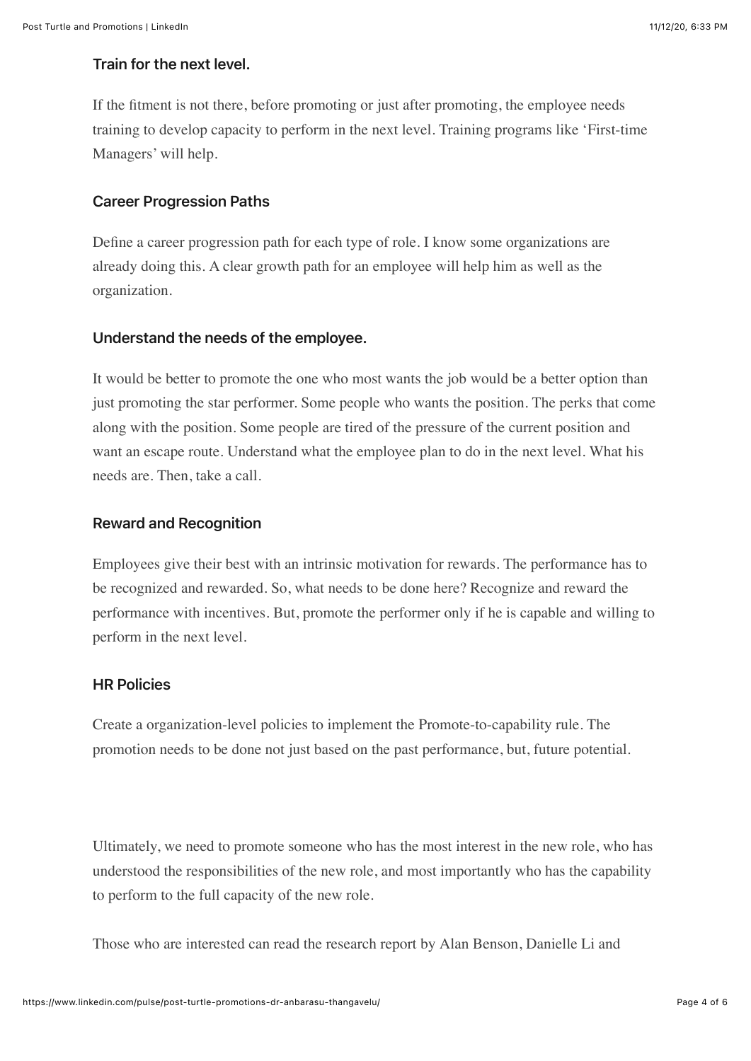#### Train for the next level.

If the fitment is not there, before promoting or just after promoting, the employee needs training to develop capacity to perform in the next level. Training programs like 'First-time Managers' will help.

### Career Progression Paths

Define a career progression path for each type of role. I know some organizations are already doing this. A clear growth path for an employee will help him as well as the organization.

#### Understand the needs of the employee.

It would be better to promote the one who most wants the job would be a better option than just promoting the star performer. Some people who wants the position. The perks that come along with the position. Some people are tired of the pressure of the current position and want an escape route. Understand what the employee plan to do in the next level. What his needs are. Then, take a call.

#### Reward and Recognition

Employees give their best with an intrinsic motivation for rewards. The performance has to be recognized and rewarded. So, what needs to be done here? Recognize and reward the performance with incentives. But, promote the performer only if he is capable and willing to perform in the next level.

#### HR Policies

Create a organization-level policies to implement the Promote-to-capability rule. The promotion needs to be done not just based on the past performance, but, future potential.

Ultimately, we need to promote someone who has the most interest in the new role, who has understood the responsibilities of the new role, and most importantly who has the capability to perform to the full capacity of the new role.

Those who are interested can read the research report by Alan Benson, Danielle Li and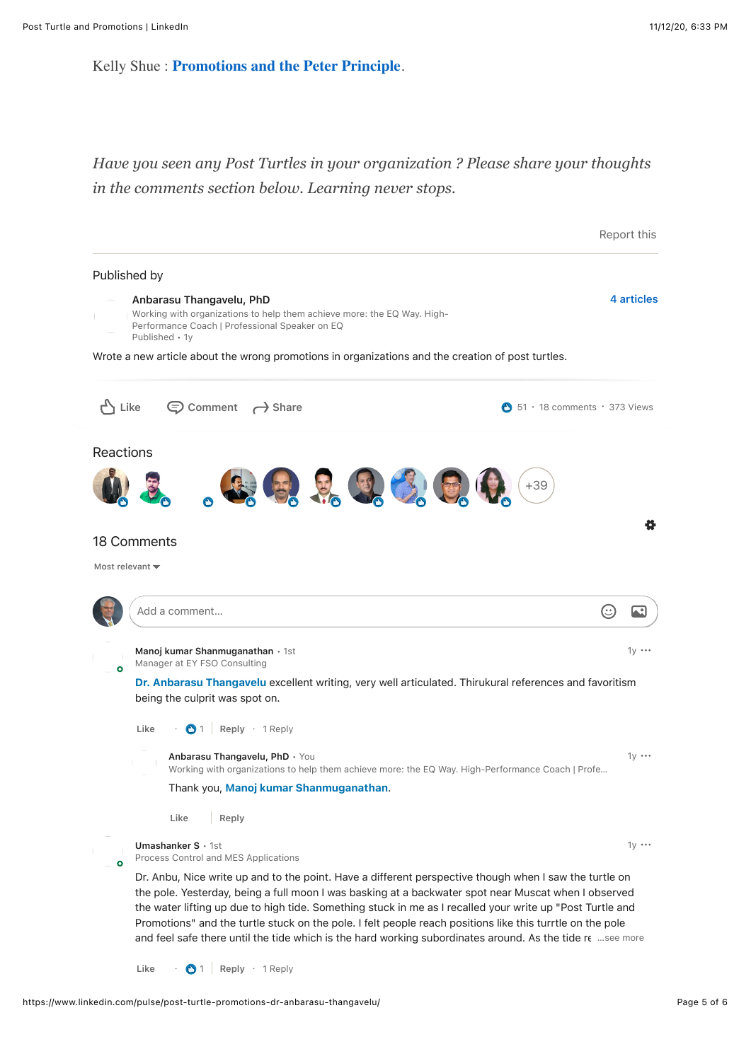Kelly Shue : **[Promotions and the Peter Principle](https://www.nber.org/papers/w24343.pdf)**.

*Have you seen any Post Turtles in your organization ? Please share your thoughts in the comments section below. Learning never stops.*